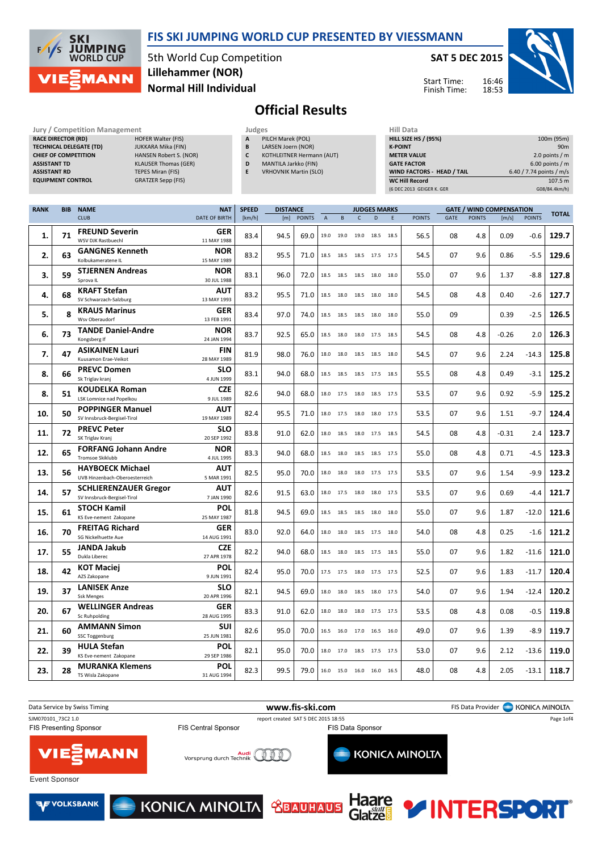### FIS SKI JUMPING WORLD CUP PRESENTED BY VIESSMANN



5th World Cup Competition Normal Hill Individual Lillehammer (NOR)

SAT 5 DEC 2015

Start Time: Finish Time:



# Official Results

| Jury / Competition Management  |                             |   | Judges                       | Hill Data                         |                          |  |  |  |
|--------------------------------|-----------------------------|---|------------------------------|-----------------------------------|--------------------------|--|--|--|
| <b>RACE DIRECTOR (RD)</b>      | <b>HOFER Walter (FIS)</b>   | A | PILCH Marek (POL)            | <b>HILL SIZE HS / (95%)</b>       | 100m (95m)               |  |  |  |
| <b>TECHNICAL DELEGATE (TD)</b> | JUKKARA Mika (FIN)          | B | LARSEN Joern (NOR)           | <b>K-POINT</b>                    | 90 <sub>m</sub>          |  |  |  |
| <b>CHIEF OF COMPETITION</b>    | HANSEN Robert S. (NOR)      |   | KOTHLEITNER Hermann (AUT)    | <b>METER VALUE</b>                | 2.0 points / $m$         |  |  |  |
| <b>ASSISTANT TD</b>            | <b>KLAUSER Thomas (GER)</b> | D | MANTILA Jarkko (FIN)         | <b>GATE FACTOR</b>                | $6.00$ points / m        |  |  |  |
| <b>ASSISTANT RD</b>            | TEPES Miran (FIS)           |   | <b>VRHOVNIK Martin (SLO)</b> | <b>WIND FACTORS - HEAD / TAIL</b> | 6.40 / 7.74 points / m/s |  |  |  |
| <b>EQUIPMENT CONTROL</b>       | <b>GRATZER Sepp (FIS)</b>   |   |                              | <b>WC Hill Record</b>             | 107.5 m                  |  |  |  |
|                                |                             |   |                              | (6 DEC 2013 GEIGER K, GER         | G08/84.4km/h)            |  |  |  |
|                                |                             |   |                              |                                   |                          |  |  |  |

| <b>RANK</b> | <b>BIB</b> | <b>NAME</b>                                            | <b>NAT</b>                | <b>SPEED</b> | <b>DISTANCE</b> |               |                           |           |                          | <b>JUDGES MARKS</b> |      |               |             |               | <b>GATE / WIND COMPENSATION</b> |               |              |
|-------------|------------|--------------------------------------------------------|---------------------------|--------------|-----------------|---------------|---------------------------|-----------|--------------------------|---------------------|------|---------------|-------------|---------------|---------------------------------|---------------|--------------|
|             |            | <b>CLUB</b>                                            | <b>DATE OF BIRTH</b>      | [km/h]       | [m]             | <b>POINTS</b> | $\boldsymbol{\mathsf{A}}$ | B         | C                        | D                   | E    | <b>POINTS</b> | <b>GATE</b> | <b>POINTS</b> | [m/s]                           | <b>POINTS</b> | <b>TOTAL</b> |
| 1.          | 71         | <b>FREUND Severin</b>                                  | <b>GER</b>                | 83.4         | 94.5            | 69.0          |                           | 19.0 19.0 |                          | 19.0 18.5 18.5      |      | 56.5          | 08          | 4.8           | 0.09                            | $-0.6$        | 129.7        |
|             |            | <b>WSV DJK Rastbuechl</b>                              | 11 MAY 1988               |              |                 |               |                           |           |                          |                     |      |               |             |               |                                 |               |              |
| 2.          | 63         | <b>GANGNES Kenneth</b>                                 | <b>NOR</b>                | 83.2         | 95.5            | 71.0          |                           |           | 18.5 18.5 18.5 17.5 17.5 |                     |      | 54.5          | 07          | 9.6           | 0.86                            | $-5.5$        | 129.6        |
|             |            | Kolbukameratene IL                                     | 15 MAY 1989               |              |                 |               |                           |           |                          |                     |      |               |             |               |                                 |               |              |
| З.          | 59         | <b>STJERNEN Andreas</b><br>Sprova IL                   | <b>NOR</b><br>30 JUL 1988 | 83.1         | 96.0            | 72.0          |                           |           | 18.5 18.5 18.5 18.0 18.0 |                     |      | 55.0          | 07          | 9.6           | 1.37                            | $-8.8$        | 127.8        |
|             |            | <b>KRAFT Stefan</b>                                    | <b>AUT</b>                |              |                 |               |                           |           |                          |                     |      |               |             |               |                                 |               |              |
| 4.          | 68         | SV Schwarzach-Salzburg                                 | 13 MAY 1993               | 83.2         | 95.5            | 71.0          |                           |           | 18.5 18.0 18.5 18.0      |                     | 18.0 | 54.5          | 08          | 4.8           | 0.40                            | $-2.6$        | 127.7        |
|             | 8          | <b>KRAUS Marinus</b>                                   | <b>GER</b>                |              |                 |               |                           |           |                          |                     |      |               |             |               |                                 |               |              |
| 5.          |            | Wsv Oberaudorf                                         | 13 FEB 1991               | 83.4         | 97.0            | 74.0          |                           |           | 18.5 18.5 18.5 18.0 18.0 |                     |      | 55.0          | 09          |               | 0.39                            | $-2.5$        | 126.5        |
| 6.          | 73         | <b>TANDE Daniel-Andre</b>                              | <b>NOR</b>                | 83.7         | 92.5            | 65.0          | 18.5                      | 18.0      | 18.0 17.5                |                     | 18.5 | 54.5          | 08          | 4.8           | $-0.26$                         | 2.0           | 126.3        |
|             |            | Kongsberg If                                           | 24 JAN 1994               |              |                 |               |                           |           |                          |                     |      |               |             |               |                                 |               |              |
| 7.          | 47         | <b>ASIKAINEN Lauri</b><br>Kuusamon Erae-Veikot         | <b>FIN</b><br>28 MAY 1989 | 81.9         | 98.0            | 76.0          | 18.0                      | 18.0      | 18.5 18.5                |                     | 18.0 | 54.5          | 07          | 9.6           | 2.24                            | $-14.3$       | 125.8        |
|             |            | <b>PREVC Domen</b>                                     | <b>SLO</b>                |              |                 |               |                           |           |                          |                     |      |               |             |               |                                 |               |              |
| 8.          | 66         | Sk Triglav kranj                                       | 4 JUN 1999                | 83.1         | 94.0            | 68.0          | 18.5                      | 18.5      | 18.5 17.5                |                     | 18.5 | 55.5          | 08          | 4.8           | 0.49                            | $-3.1$        | 125.2        |
|             |            | <b>KOUDELKA Roman</b>                                  | <b>CZE</b>                |              |                 |               |                           |           |                          |                     |      |               |             |               |                                 |               |              |
| 8.          | 51         | LSK Lomnice nad Popelkou                               | 9 JUL 1989                | 82.6         | 94.0            | 68.0          |                           | 18.0 17.5 |                          | 18.0 18.5 17.5      |      | 53.5          | 07          | 9.6           | 0.92                            | $-5.9$        | 125.2        |
| 10.         | 50         | <b>POPPINGER Manuel</b>                                | <b>AUT</b>                | 82.4         | 95.5            | 71.0          |                           |           | 18.0 17.5 18.0 18.0 17.5 |                     |      | 53.5          | 07          | 9.6           | 1.51                            | $-9.7$        | 124.4        |
|             |            | SV Innsbruck-Bergisel-Tirol                            | 19 MAY 1989               |              |                 |               |                           |           |                          |                     |      |               |             |               |                                 |               |              |
| 11.         | 72         | <b>PREVC Peter</b>                                     | <b>SLO</b>                | 83.8         | 91.0            | 62.0          |                           | 18.0 18.5 | 18.0 17.5 18.5           |                     |      | 54.5          | 08          | 4.8           | -0.31                           | 2.4           | 123.7        |
|             |            | SK Triglav Kranj                                       | 20 SEP 1992               |              |                 |               |                           |           |                          |                     |      |               |             |               |                                 |               |              |
| 12.         | 65         | <b>FORFANG Johann Andre</b><br><b>Tromsoe Skiklubb</b> | <b>NOR</b><br>4 JUL 1995  | 83.3         | 94.0            | 68.0          |                           |           | 18.5 18.0 18.5 18.5 17.5 |                     |      | 55.0          | 08          | 4.8           | 0.71                            | $-4.5$        | 123.3        |
|             |            | <b>HAYBOECK Michael</b>                                | <b>AUT</b>                |              |                 |               |                           |           |                          |                     |      |               |             |               |                                 |               |              |
| 13.         | 56         | UVB Hinzenbach-Oberoesterreich                         | 5 MAR 1991                | 82.5         | 95.0            | 70.0          |                           | 18.0 18.0 | 18.0 17.5 17.5           |                     |      | 53.5          | 07          | 9.6           | 1.54                            | $-9.9$        | 123.2        |
| 14.         | 57         | <b>SCHLIERENZAUER Gregor</b>                           | AUT                       | 82.6         | 91.5            | 63.0          |                           |           | 18.0 17.5 18.0 18.0 17.5 |                     |      | 53.5          | 07          | 9.6           | 0.69                            | $-4.4$        | 121.7        |
|             |            | SV Innsbruck-Bergisel-Tirol                            | 7 JAN 1990                |              |                 |               |                           |           |                          |                     |      |               |             |               |                                 |               |              |
| 15.         | 61         | <b>STOCH Kamil</b>                                     | POL                       | 81.8         | 94.5            | 69.0          |                           |           | 18.5 18.5 18.5 18.0      |                     | 18.0 | 55.0          | 07          | 9.6           | 1.87                            | $-12.0$       | 121.6        |
|             |            | KS Eve-nement Zakopane                                 | 25 MAY 1987               |              |                 |               |                           |           |                          |                     |      |               |             |               |                                 |               |              |
| 16.         | 70         | <b>FREITAG Richard</b><br>SG Nickelhuette Aue          | <b>GER</b><br>14 AUG 1991 | 83.0         | 92.0            | 64.0          | 18.0                      | 18.0      |                          | 18.5 17.5           | 18.0 | 54.0          | 08          | 4.8           | 0.25                            | $-1.6$        | 121.2        |
|             |            | <b>JANDA Jakub</b>                                     | <b>CZE</b>                |              |                 |               |                           |           |                          |                     |      |               |             |               |                                 |               |              |
| 17.         | 55         | Dukla Liberec                                          | 27 APR 1978               | 82.2         | 94.0            | 68.0          |                           | 18.5 18.0 | 18.5 17.5 18.5           |                     |      | 55.0          | 07          | 9.6           | 1.82                            | $-11.6$       | 121.0        |
|             |            | <b>KOT Maciej</b>                                      | <b>POL</b>                |              |                 |               |                           |           |                          |                     |      |               |             |               |                                 |               |              |
| 18.         | 42         | AZS Zakopane                                           | 9 JUN 1991                | 82.4         | 95.0            | 70.0          | 17.5                      | 17.5      | 18.0 17.5                |                     | 17.5 | 52.5          | 07          | 9.6           | 1.83                            | $-11.7$       | 120.4        |
| 19.         | 37         | <b>LANISEK Anze</b>                                    | <b>SLO</b>                | 82.1         | 94.5            | 69.0          |                           | 18.0 18.0 |                          | 18.5 18.0 17.5      |      | 54.0          | 07          | 9.6           | 1.94                            | $-12.4$       | 120.2        |
|             |            | <b>Ssk Menges</b>                                      | 20 APR 1996               |              |                 |               |                           |           |                          |                     |      |               |             |               |                                 |               |              |
| 20.         | 67         | <b>WELLINGER Andreas</b><br>Sc Ruhpolding              | <b>GER</b>                | 83.3         | 91.0            | 62.0          | 18.0                      | 18.0      |                          | 18.0 17.5 17.5      |      | 53.5          | 08          | 4.8           | 0.08                            | $-0.5$        | 119.8        |
|             |            | <b>AMMANN Simon</b>                                    | 28 AUG 1995<br>SUI        |              |                 |               |                           |           |                          |                     |      |               |             |               |                                 |               |              |
| 21.         | 60         | <b>SSC Toggenburg</b>                                  | 25 JUN 1981               | 82.6         | 95.0            | 70.0          |                           |           | 16.5 16.0 17.0 16.5 16.0 |                     |      | 49.0          | 07          | 9.6           | 1.39                            | $-8.9$        | 119.7        |
|             |            | <b>HULA Stefan</b>                                     | POL                       |              |                 |               |                           |           |                          |                     |      |               |             |               |                                 |               |              |
| 22.         | 39         | KS Eve-nement Zakopane                                 | 29 SEP 1986               | 82.1         | 95.0            | 70.0          |                           |           | 18.0 17.0 18.5 17.5 17.5 |                     |      | 53.0          | 07          | 9.6           | 2.12                            | $-13.6$       | 119.0        |
| 23.         | 28         | <b>MURANKA Klemens</b>                                 | POL                       | 82.3         | 99.5            | 79.0          |                           |           | 16.0 15.0 16.0 16.0 16.5 |                     |      | 48.0          | 08          | 4.8           | 2.05                            | $-13.1$       | 118.7        |
|             |            | TS Wisla Zakopane                                      | 31 AUG 1994               |              |                 |               |                           |           |                          |                     |      |               |             |               |                                 |               |              |

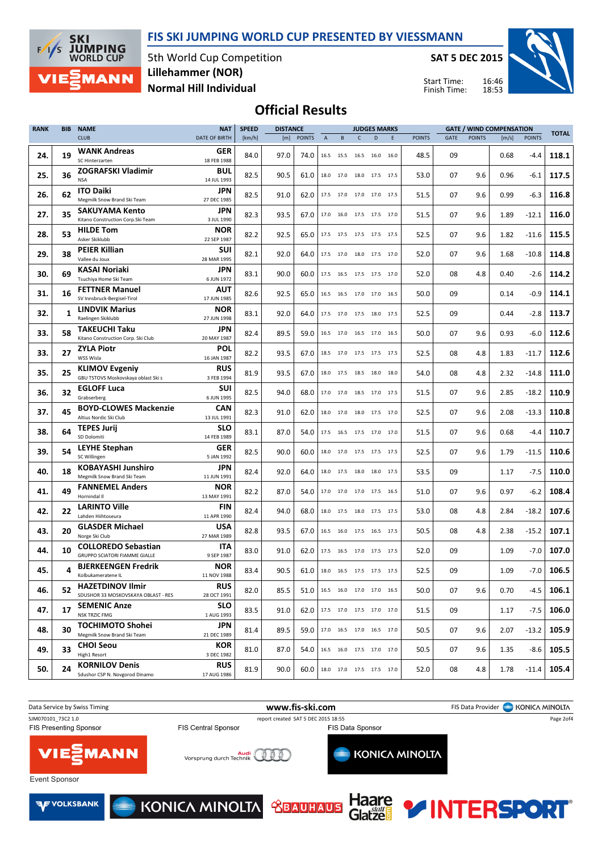FIS SKI JUMPING WORLD CUP PRESENTED BY VIESSMANN



5th World Cup Competition Normal Hill Individual Lillehammer (NOR)

SAT 5 DEC 2015

Start Time: Finish Time:



## Official Results

| <b>RANK</b> | <b>BIB</b>   | <b>NAME</b>                                                        | <b>NAT</b>                | <b>SPEED</b> | <b>DISTANCE</b> |               |                           |           |                              | <b>JUDGES MARKS</b> |      |               |             |               | <b>GATE / WIND COMPENSATION</b> |               | <b>TOTAL</b> |  |
|-------------|--------------|--------------------------------------------------------------------|---------------------------|--------------|-----------------|---------------|---------------------------|-----------|------------------------------|---------------------|------|---------------|-------------|---------------|---------------------------------|---------------|--------------|--|
|             |              | <b>CLUB</b>                                                        | <b>DATE OF BIRTH</b>      | [km/h]       | [m]             | <b>POINTS</b> | $\boldsymbol{\mathsf{A}}$ | B         | $\mathsf{C}$                 | D                   | E    | <b>POINTS</b> | <b>GATE</b> | <b>POINTS</b> | [m/s]                           | <b>POINTS</b> |              |  |
| 24.         | 19           | <b>WANK Andreas</b><br>SC Hinterzarten                             | GER<br>18 FEB 1988        | 84.0         | 97.0            | 74.0          |                           | 16.5 15.5 | 16.5 16.0 16.0               |                     |      | 48.5          | 09          |               | 0.68                            | $-4.4$        | 118.1        |  |
| 25.         | 36           | <b>ZOGRAFSKI Vladimir</b><br><b>NSA</b>                            | <b>BUL</b><br>14 JUL 1993 | 82.5         | 90.5            | 61.0          |                           | 18.0 17.0 | 18.0 17.5 17.5               |                     |      | 53.0          | 07          | 9.6           | 0.96                            | $-6.1$        | 117.5        |  |
| 26.         | 62           | <b>ITO Daiki</b><br>Megmilk Snow Brand Ski Team                    | JPN<br>27 DEC 1985        | 82.5         | 91.0            | 62.0          |                           | 17.5 17.0 | 17.0 17.0 17.5               |                     |      | 51.5          | 07          | 9.6           | 0.99                            | $-6.3$        | 116.8        |  |
| 27.         | 35           | <b>SAKUYAMA Kento</b><br>Kitano Construction Corp. Ski Team        | JPN<br>3 JUL 1990         | 82.3         | 93.5            | 67.0          |                           |           | 17.0 16.0 17.5 17.5 17.0     |                     |      | 51.5          | 07          | 9.6           | 1.89                            | $-12.1$       | 116.0        |  |
| 28.         | 53           | <b>HILDE Tom</b><br>Asker Skiklubb                                 | <b>NOR</b><br>22 SEP 1987 | 82.2         | 92.5            | 65.0          |                           |           | 17.5 17.5 17.5 17.5 17.5     |                     |      | 52.5          | 07          | 9.6           | 1.82                            | $-11.6$       | 115.5        |  |
| 29.         | 38           | <b>PEIER Killian</b><br>Vallee du Joux                             | <b>SUI</b><br>28 MAR 1995 | 82.1         | 92.0            | 64.0          |                           | 17.5 17.0 | 18.0 17.5 17.0               |                     |      | 52.0          | 07          | 9.6           | 1.68                            | $-10.8$       | 114.8        |  |
| 30.         | 69           | KASAI Noriaki<br>Tsuchiya Home Ski Team                            | JPN<br>6 JUN 1972         | 83.1         | 90.0            | 60.0          |                           |           | 17.5 16.5 17.5 17.5 17.0     |                     |      | 52.0          | 08          | 4.8           | 0.40                            | $-2.6$        | 114.2        |  |
| 31.         | 16           | <b>FETTNER Manuel</b><br>SV Innsbruck-Bergisel-Tirol               | AUT<br>17 JUN 1985        | 82.6         | 92.5            | 65.0          |                           |           | 16.5 16.5 17.0 17.0 16.5     |                     |      | 50.0          | 09          |               | 0.14                            | $-0.9$        | 114.1        |  |
| 32.         | $\mathbf{1}$ | <b>LINDVIK Marius</b><br>Raelingen Skiklubb                        | <b>NOR</b><br>27 JUN 1998 | 83.1         | 92.0            | 64.0          |                           | 17.5 17.0 | 17.5 18.0                    |                     | 17.5 | 52.5          | 09          |               | 0.44                            | $-2.8$        | 113.7        |  |
| 33.         | 58           | TAKEUCHI Taku<br>Kitano Construction Corp. Ski Club                | JPN<br>20 MAY 1987        | 82.4         | 89.5            | 59.0          |                           | 16.5 17.0 | 16.5 17.0 16.5               |                     |      | 50.0          | 07          | 9.6           | 0.93                            | $-6.0$        | 112.6        |  |
| 33.         | 27           | <b>ZYLA Piotr</b><br>WSS Wisla                                     | <b>POL</b><br>16 JAN 1987 | 82.2         | 93.5            | 67.0          |                           | 18.5 17.0 | 17.5 17.5 17.5               |                     |      | 52.5          | 08          | 4.8           | 1.83                            | $-11.7$       | 112.6        |  |
| 35.         | 25           | <b>KLIMOV Evgeniy</b><br>GBU TSTOVS Moskovskaya oblast Ski s       | <b>RUS</b><br>3 FEB 1994  | 81.9         | 93.5            | 67.0          |                           |           | 18.0 17.5 18.5 18.0 18.0     |                     |      | 54.0          | 08          | 4.8           | 2.32                            | $-14.8$       | 111.0        |  |
| 36.         | 32           | <b>EGLOFF Luca</b><br>Grabserberg                                  | <b>SUI</b><br>6 JUN 1995  | 82.5         | 94.0            | 68.0          |                           | 17.0 17.0 | 18.5                         | 17.0 17.5           |      | 51.5          | 07          | 9.6           | 2.85                            | $-18.2$       | 110.9        |  |
| 37.         | 45           | <b>BOYD-CLOWES Mackenzie</b><br>Altius Nordic Ski Club             | <b>CAN</b><br>13 JUL 1991 | 82.3         | 91.0            | 62.0          |                           | 18.0 17.0 | 18.0 17.5                    |                     | 17.0 | 52.5          | 07          | 9.6           | 2.08                            | $-13.3$       | 110.8        |  |
| 38.         | 64           | <b>TEPES Jurij</b><br>SD Dolomiti                                  | SLO<br>14 FEB 1989        | 83.1         | 87.0            | 54.0          |                           |           | 17.5 16.5 17.5 17.0 17.0     |                     |      | 51.5          | 07          | 9.6           | 0.68                            | $-4.4$        | 110.7        |  |
| 39.         | 54           | <b>LEYHE Stephan</b><br>SC Willingen                               | GER<br>5 JAN 1992         | 82.5         | 90.0            | 60.0          |                           |           | 18.0 17.0 17.5 17.5 17.5     |                     |      | 52.5          | 07          | 9.6           | 1.79                            | $-11.5$       | 110.6        |  |
| 40.         | 18           | <b>KOBAYASHI Junshiro</b><br>Megmilk Snow Brand Ski Team           | JPN<br>11 JUN 1991        | 82.4         | 92.0            | 64.0          |                           | 18.0 17.5 | 18.0 18.0 17.5               |                     |      | 53.5          | 09          |               | 1.17                            | $-7.5$        | 110.0        |  |
| 41.         | 49           | <b>FANNEMEL Anders</b><br>Hornindal II                             | <b>NOR</b><br>13 MAY 1991 | 82.2         | 87.0            | 54.0          |                           |           | 17.0 17.0 17.0 17.5 16.5     |                     |      | 51.0          | 07          | 9.6           | 0.97                            | $-6.2$        | 108.4        |  |
| 42.         | 22           | <b>LARINTO Ville</b><br>Lahden Hiihtoseura                         | <b>FIN</b><br>11 APR 1990 | 82.4         | 94.0            | 68.0          |                           |           | 18.0 17.5 18.0 17.5 17.5     |                     |      | 53.0          | 08          | 4.8           | 2.84                            | $-18.2$       | 107.6        |  |
| 43.         | 20           | <b>GLASDER Michael</b><br>Norge Ski Club                           | <b>USA</b><br>27 MAR 1989 | 82.8         | 93.5            | 67.0          |                           |           | 16.5 16.0 17.5 16.5 17.5     |                     |      | 50.5          | 08          | 4.8           | 2.38                            | $-15.2$       | 107.1        |  |
| 44.         | 10           | <b>COLLOREDO Sebastian</b><br><b>GRUPPO SCIATORI FIAMME GIALLE</b> | <b>ITA</b><br>9 SEP 1987  | 83.0         | 91.0            | 62.0          |                           | 17.5 16.5 | 17.0 17.5 17.5               |                     |      | 52.0          | 09          |               | 1.09                            | $-7.0$        | 107.0        |  |
| 45.         | 4            | <b>BJERKEENGEN Fredrik</b><br>Kolbukameratene IL                   | <b>NOR</b><br>11 NOV 1988 | 83.4         | 90.5            | 61.0          |                           |           | 18.0 16.5 17.5 17.5 17.5     |                     |      | 52.5          | 09          |               | 1.09                            | -7.0          | 106.5        |  |
| 46.         | 52           | <b>HAZETDINOV Ilmir</b><br>SDUSHOR 33 MOSKOVSKAYA OBLAST - RES     | <b>RUS</b><br>28 OCT 1991 | 82.0         | 85.5            | 51.0          |                           |           | 16.5 16.0 17.0 17.0 16.5     |                     |      | 50.0          | 07          | 9.6           | 0.70                            | -4.5          | 106.1        |  |
| 47.         | 17           | <b>SEMENIC Anze</b><br>NSK TRZIC FMG                               | <b>SLO</b><br>1 AUG 1993  | 83.5         | 91.0            | 62.0          |                           |           | 17.5 17.0 17.5 17.0 17.0     |                     |      | 51.5          | 09          |               | 1.17                            | $-7.5$        | 106.0        |  |
| 48.         | 30           | TOCHIMOTO Shohei<br>Megmilk Snow Brand Ski Team                    | <b>JPN</b><br>21 DEC 1989 | 81.4         | 89.5            | 59.0          |                           |           | 17.0  16.5  17.0  16.5  17.0 |                     |      | 50.5          | 07          | 9.6           | 2.07                            | $-13.2$       | 105.9        |  |
| 49.         | 33           | <b>CHOI Seou</b><br>High1 Resort                                   | KOR<br>3 DEC 1982         | 81.0         | 87.0            | 54.0          |                           |           | 16.5 16.0 17.5 17.0 17.0     |                     |      | 50.5          | 07          | 9.6           | 1.35                            | -8.6          | 105.5        |  |
| 50.         | 24           | <b>KORNILOV Denis</b><br>Sdushor CSP N. Novgorod Dinamo            | <b>RUS</b><br>17 AUG 1986 | 81.9         | 90.0            | 60.0          |                           |           | 18.0 17.0 17.5 17.5 17.0     |                     |      | 52.0          | 08          | 4.8           | 1.78                            | $-11.4$       | 105.4        |  |

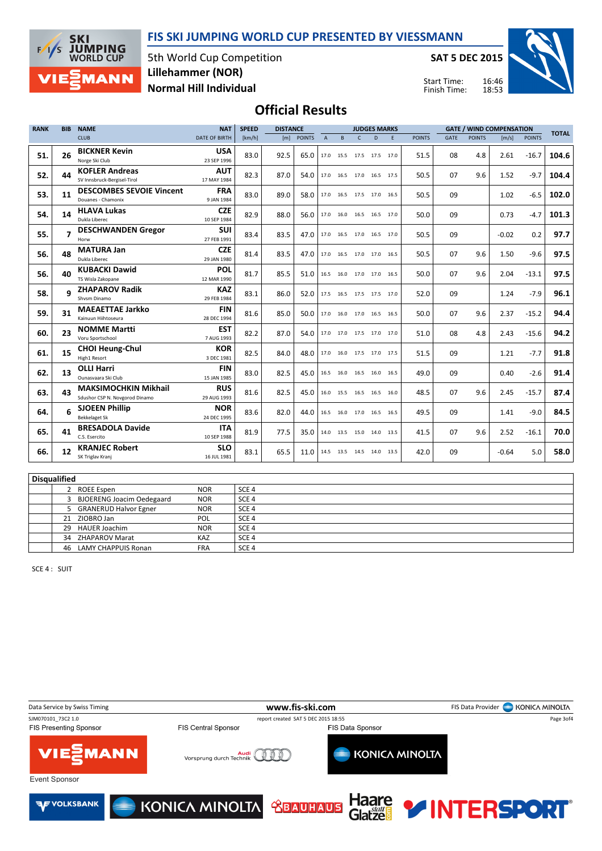FIS SKI JUMPING WORLD CUP PRESENTED BY VIESSMANN



5th World Cup Competition Normal Hill Individual Lillehammer (NOR)

SAT 5 DEC 2015

Start Time: Finish Time:



### Official Results

| <b>RANK</b> | <b>BIB</b> | <b>NAME</b>                                                   | <b>NAT</b>                | <b>SPEED</b> | <b>DISTANCE</b> |            |                |                |                          | <b>JUDGES MARKS</b> |      |               |             | <b>GATE / WIND COMPENSATION</b> |         |               | <b>TOTAL</b> |
|-------------|------------|---------------------------------------------------------------|---------------------------|--------------|-----------------|------------|----------------|----------------|--------------------------|---------------------|------|---------------|-------------|---------------------------------|---------|---------------|--------------|
|             |            | <b>CLUB</b>                                                   | DATE OF BIRTH             | [km/h]       |                 | [m] POINTS | $\overline{A}$ | B              | $\mathsf{C}$             | D                   | F    | <b>POINTS</b> | <b>GATE</b> | <b>POINTS</b>                   | [m/s]   | <b>POINTS</b> |              |
| 51.         | 26         | <b>BICKNER Kevin</b><br>Norge Ski Club                        | <b>USA</b><br>23 SEP 1996 | 83.0         | 92.5            | 65.0       | 17.0           | 15.5           | 17.5 17.5                |                     | 17.0 | 51.5          | 08          | 4.8                             | 2.61    | $-16.7$       | 104.6        |
| 52.         | 44         | <b>KOFLER Andreas</b><br>SV Innsbruck-Bergisel-Tirol          | <b>AUT</b><br>17 MAY 1984 | 82.3         | 87.0            | 54.0       |                |                | 17.0 16.5 17.0 16.5 17.5 |                     |      | 50.5          | 07          | 9.6                             | 1.52    | $-9.7$        | 104.4        |
| 53.         | 11         | <b>DESCOMBES SEVOIE Vincent</b><br>Douanes - Chamonix         | <b>FRA</b><br>9 JAN 1984  | 83.0         | 89.0            | 58.0       |                |                | 17.0 16.5 17.5 17.0      |                     | 16.5 | 50.5          | 09          |                                 | 1.02    | $-6.5$        | 102.0        |
| 54.         | 14         | <b>HLAVA Lukas</b><br>Dukla Liberec                           | <b>CZE</b><br>10 SEP 1984 | 82.9         | 88.0            | 56.0       |                |                | 17.0 16.0 16.5 16.5      |                     | 17.0 | 50.0          | 09          |                                 | 0.73    | $-4.7$        | 101.3        |
| 55.         | 7          | <b>DESCHWANDEN Gregor</b><br>Horw                             | <b>SUI</b><br>27 FEB 1991 | 83.4         | 83.5            | 47.0       |                |                | 17.0 16.5 17.0 16.5 17.0 |                     |      | 50.5          | 09          |                                 | $-0.02$ | 0.2           | 97.7         |
| 56.         | 48         | <b>MATURA Jan</b><br>Dukla Liberec                            | <b>CZE</b><br>29 JAN 1980 | 81.4         | 83.5            | 47.0       | 17.0           |                | 16.5 17.0 17.0           |                     | 16.5 | 50.5          | 07          | 9.6                             | 1.50    | $-9.6$        | 97.5         |
| 56.         | 40         | <b>KUBACKI Dawid</b><br>TS Wisla Zakopane                     | <b>POL</b><br>12 MAR 1990 | 81.7         | 85.5            | 51.0       |                |                | 16.5 16.0 17.0 17.0      |                     | 16.5 | 50.0          | 07          | 9.6                             | 2.04    | $-13.1$       | 97.5         |
| 58.         | a          | <b>ZHAPAROV Radik</b><br>Shysm Dinamo                         | <b>KAZ</b><br>29 FEB 1984 | 83.1         | 86.0            | 52.0       |                |                | 17.5 16.5 17.5 17.5 17.0 |                     |      | 52.0          | 09          |                                 | 1.24    | $-7.9$        | 96.1         |
| 59.         | 31         | <b>MAEAETTAE Jarkko</b><br>Kainuun Hiihtoseura                | <b>FIN</b><br>28 DEC 1994 | 81.6         | 85.0            | 50.0       | 17.0           |                | 16.0 17.0 16.5           |                     | 16.5 | 50.0          | 07          | 9.6                             | 2.37    | $-15.2$       | 94.4         |
| 60.         | 23         | <b>NOMME Martti</b><br>Voru Sportschool                       | <b>EST</b><br>7 AUG 1993  | 82.2         | 87.0            | 54.0       |                |                | 17.0 17.0 17.5 17.0      |                     | 17.0 | 51.0          | 08          | 4.8                             | 2.43    | $-15.6$       | 94.2         |
| 61.         | 15         | <b>CHOI Heung-Chul</b><br>High1 Resort                        | <b>KOR</b><br>3 DEC 1981  | 82.5         | 84.0            | 48.0       |                |                | 17.0 16.0 17.5 17.0 17.5 |                     |      | 51.5          | 09          |                                 | 1.21    | $-7.7$        | 91.8         |
| 62.         | 13         | <b>OLLI Harri</b><br>Ounasyaara Ski Club                      | <b>FIN</b><br>15 JAN 1985 | 83.0         | 82.5            | 45.0       | 16.5           |                | 16.0 16.5 16.0           |                     | 16.5 | 49.0          | 09          |                                 | 0.40    | $-2.6$        | 91.4         |
| 63.         | 43         | <b>MAKSIMOCHKIN Mikhail</b><br>Sdushor CSP N. Novgorod Dinamo | <b>RUS</b><br>29 AUG 1993 | 81.6         | 82.5            | 45.0       |                |                | 16.0 15.5 16.5 16.5      |                     | 16.0 | 48.5          | 07          | 9.6                             | 2.45    | $-15.7$       | 87.4         |
| 64.         | 6          | <b>SJOEEN Phillip</b><br><b>Bekkelaget Sk</b>                 | <b>NOR</b><br>24 DEC 1995 | 83.6         | 82.0            | 44.0       |                |                | 16.5 16.0 17.0 16.5 16.5 |                     |      | 49.5          | 09          |                                 | 1.41    | $-9.0$        | 84.5         |
| 65.         | 41         | <b>BRESADOLA Davide</b><br>C.S. Esercito                      | <b>ITA</b><br>10 SEP 1988 | 81.9         | 77.5            | 35.0       |                |                | 14.0 13.5 15.0 14.0      |                     | 13.5 | 41.5          | 07          | 9.6                             | 2.52    | $-16.1$       | 70.0         |
| 66.         | 12         | <b>KRANJEC Robert</b><br>SK Triglav Kranj                     | <b>SLO</b><br>16 JUL 1981 | 83.1         | 65.5            | 11.0       |                | 14.5 13.5 14.5 |                          | 14.0                | 13.5 | 42.0          | 09          |                                 | $-0.64$ | 5.0           | 58.0         |

| Disqualified |                                  |            |                  |  |  |  |  |  |  |  |  |  |
|--------------|----------------------------------|------------|------------------|--|--|--|--|--|--|--|--|--|
|              | <b>ROEE Espen</b>                | <b>NOR</b> | SCE <sub>4</sub> |  |  |  |  |  |  |  |  |  |
|              | <b>BJOERENG Joacim Oedegaard</b> | <b>NOR</b> | SCE <sub>4</sub> |  |  |  |  |  |  |  |  |  |
|              | 5 GRANERUD Halvor Egner          | <b>NOR</b> | SCE <sub>4</sub> |  |  |  |  |  |  |  |  |  |
| 21           | ZIOBRO Jan                       | <b>POL</b> | SCE <sub>4</sub> |  |  |  |  |  |  |  |  |  |
| 29           | <b>HAUER Joachim</b>             | <b>NOR</b> | SCE <sub>4</sub> |  |  |  |  |  |  |  |  |  |
| 34           | ZHAPAROV Marat                   | <b>KAZ</b> | SCE <sub>4</sub> |  |  |  |  |  |  |  |  |  |
| 46           | LAMY CHAPPUIS Ronan              | <b>FRA</b> | SCE <sub>4</sub> |  |  |  |  |  |  |  |  |  |

SCE 4 : SUIT